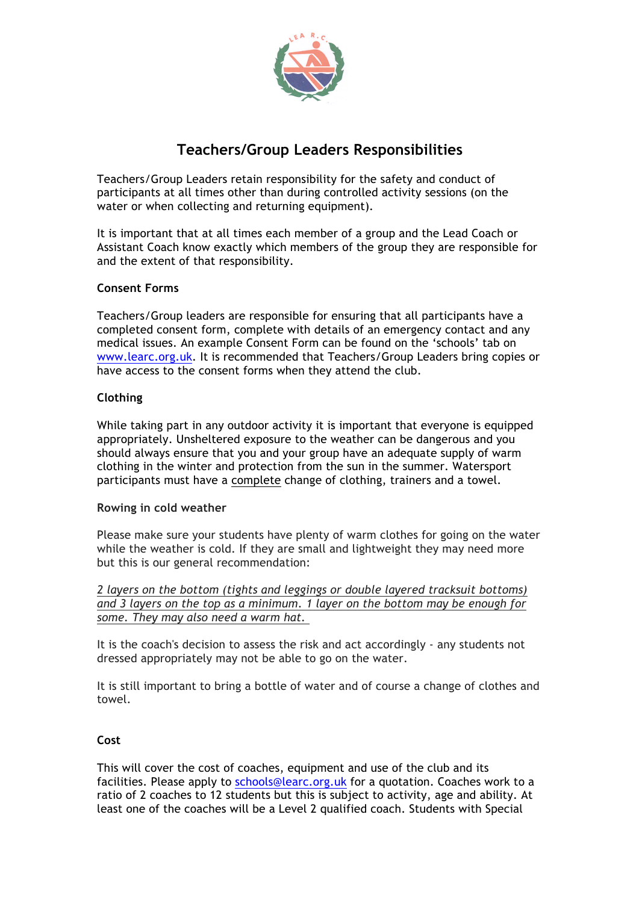

# **Teachers/Group Leaders Responsibilities**

Teachers/Group Leaders retain responsibility for the safety and conduct of participants at all times other than during controlled activity sessions (on the water or when collecting and returning equipment).

It is important that at all times each member of a group and the Lead Coach or Assistant Coach know exactly which members of the group they are responsible for and the extent of that responsibility.

## **Consent Forms**

Teachers/Group leaders are responsible for ensuring that all participants have a completed consent form, complete with details of an emergency contact and any medical issues. An example Consent Form can be found on the 'schools' tab on www.learc.org.uk. It is recommended that Teachers/Group Leaders bring copies or have access to the consent forms when they attend the club.

## **Clothing**

While taking part in any outdoor activity it is important that everyone is equipped appropriately. Unsheltered exposure to the weather can be dangerous and you should always ensure that you and your group have an adequate supply of warm clothing in the winter and protection from the sun in the summer. Watersport participants must have a complete change of clothing, trainers and a towel.

### **Rowing in cold weather**

Please make sure your students have plenty of warm clothes for going on the water while the weather is cold. If they are small and lightweight they may need more but this is our general recommendation:

*2 layers on the bottom (tights and leggings or double layered tracksuit bottoms) and 3 layers on the top as a minimum. 1 layer on the bottom may be enough for some. They may also need a warm hat.*

It is the coach's decision to assess the risk and act accordingly - any students not dressed appropriately may not be able to go on the water.

It is still important to bring a bottle of water and of course a change of clothes and towel.

### **Cost**

This will cover the cost of coaches, equipment and use of the club and its facilities. Please apply to schools@learc.org.uk for a quotation. Coaches work to a ratio of 2 coaches to 12 students but this is subject to activity, age and ability. At least one of the coaches will be a Level 2 qualified coach. Students with Special